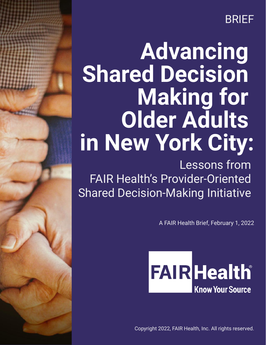## BRIEF

# **Advancing Shared Decision Making for Older Adults in New York City:**

Lessons from FAIR Health's Provider-Oriented Shared Decision-Making Initiative

A FAIR Health Brief, February 1, 2022



Copyright 2022, FAIR Health, Inc. All rights reserved.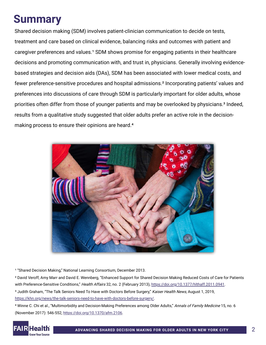### **Summary**

Shared decision making (SDM) involves patient-clinician communication to decide on tests, treatment and care based on clinical evidence, balancing risks and outcomes with patient and caregiver preferences and values.<sup>1</sup> SDM shows promise for engaging patients in their healthcare decisions and promoting communication with, and trust in, physicians. Generally involving evidencebased strategies and decision aids (DAs), SDM has been associated with lower medical costs, and fewer preference-sensitive procedures and hospital admissions.<sup>2</sup> Incorporating patients' values and preferences into discussions of care through SDM is particularly important for older adults, whose priorities often differ from those of younger patients and may be overlooked by physicians.<sup>3</sup> Indeed, results from a qualitative study suggested that older adults prefer an active role in the decisionmaking process to ensure their opinions are heard.<sup>4</sup>



<sup>1</sup> "Shared Decision Making," National Learning Consortium, December 2013.

² David Veroff, Amy Marr and David E. Wennberg, "Enhanced Support for Shared Decision Making Reduced Costs of Care for Patients with Preference-Sensitive Conditions," Health Affairs 32, no. 2 (February 2013), [https://doi.org/10.1377/hlthaff.2011.0941.](https://www.healthaffairs.org/doi/10.1377/hlthaff.2011.0941)

<sup>3</sup> Judith Graham, "The Talk Seniors Need To Have with Doctors Before Surgery," Kaiser Health News, August 1, 2019, <https://khn.org/news/the-talk-seniors-need-to-have-with-doctors-before-surgery/>.

<sup>4</sup> Winne C. Chi et al., "Multimorbidity and Decision-Making Preferences among Older Adults," Annals of Family Medicine 15, no. 6 (November 2017): 546-552, [https://doi.org/10.1370/afm.2106](https://www.annfammed.org/content/15/6/546).

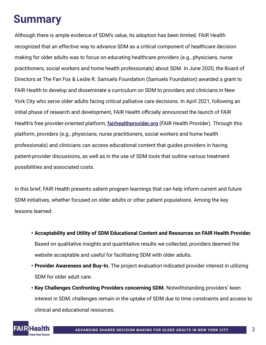#### **Summary**

Although there is ample evidence of SDM's value, its adoption has been limited. FAIR Health recognized that an effective way to advance SDM as a critical component of healthcare decision making for older adults was to focus on educating healthcare providers (e.g., physicians, nurse practitioners, social workers and home health professionals) about SDM. In June 2020, the Board of Directors at The Fan Fox & Leslie R. Samuels Foundation (Samuels Foundation) awarded a grant to FAIR Health to develop and disseminate a curriculum on SDM to providers and clinicians in New York City who serve older adults facing critical palliative care decisions. In April 2021, following an initial phase of research and development, FAIR Health officially announced the launch of FAIR Health's free provider-oriented platform, **[fairhealthprovider.org](https://www.fairhealthprovider.org/)** (FAIR Health Provider). Through this platform, providers (e.g., physicians, nurse practitioners, social workers and home health professionals) and clinicians can access educational content that guides providers in having patient-provider discussions, as well as in the use of SDM tools that outline various treatment possibilities and associated costs.

In this brief, FAIR Health presents salient program learnings that can help inform current and future SDM initiatives, whether focused on older adults or other patient populations. Among the key lessons learned:

- **Acceptability and Utility of SDM Educational Content and Resources on FAIR Health Provider.** Based on qualitative insights and quantitative results we collected, providers deemed the website acceptable and useful for facilitating SDM with older adults.
- **Provider Awareness and Buy-In.** The project evaluation indicated provider interest in utilizing SDM for older adult care.
- **Key Challenges Confronting Providers concerning SDM.** Notwithstanding providers' keen interest in SDM, challenges remain in the uptake of SDM due to time constraints and access to clinical and educational resources.

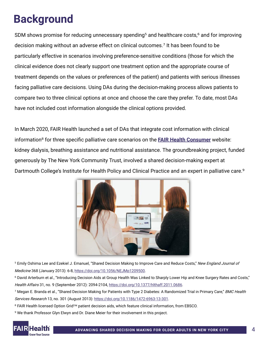### **Background**

SDM shows promise for reducing unnecessary spending<sup>5</sup> and healthcare costs,<sup>6</sup> and for improving decision making without an adverse effect on clinical outcomes.<sup>7</sup> It has been found to be particularly effective in scenarios involving preference-sensitive conditions (those for which the clinical evidence does not clearly support one treatment option and the appropriate course of treatment depends on the values or preferences of the patient) and patients with serious illnesses facing palliative care decisions. Using DAs during the decision-making process allows patients to compare two to three clinical options at once and choose the care they prefer. To date, most DAs have not included cost information alongside the clinical options provided.

In March 2020, FAIR Health launched a set of DAs that integrate cost information with clinical information⁸ for three specific palliative care scenarios on the **[FAIR Health Consumer](https://www.fairhealthconsumer.org/shared-decision-making)** website: kidney dialysis, breathing assistance and nutritional assistance. The groundbreaking project, funded generously by The New York Community Trust, involved a shared decision-making expert at Dartmouth College's Institute for Health Policy and Clinical Practice and an expert in palliative care.<sup>9</sup>



<sup>5</sup> Emily Oshima Lee and Ezekiel J. Emanuel, "Shared Decision Making to Improve Care and Reduce Costs," New England Journal of Medicine 368 (January 2013): 6-8, [https://doi.org/10.1056/NEJMp1209500.](https://www.nejm.org/doi/10.1056/NEJMp1209500)

⁶ David Arterburn et al., "Introducing Decision Aids at Group Health Was Linked to Sharply Lower Hip and Knee Surgery Rates and Costs," Health Affairs 31, no. 9 (September 2012): 2094-2104, [https://doi.org/10.1377/hlthaff.2011.0686](https://www.healthaffairs.org/doi/10.1377/hlthaff.2011.0686).

<sup>7</sup> Megan E. Branda et al., "Shared Decision Making for Patients with Type 2 Diabetes: A Randomized Trial in Primary Care," BMC Health Services Research 13, no. 301 (August 2013): [https://doi.org/10.1186/1472-6963-13-301](https://bmchealthservres.biomedcentral.com/articles/10.1186/1472-6963-13-301).

⁸ FAIR Health licensed Option Grid™ patient decision aids, which feature clinical information, from EBSCO.

⁹ We thank Professor Glyn Elwyn and Dr. Diane Meier for their involvement in this project.

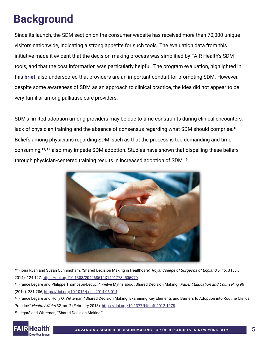### **Background**

Since its launch, the SDM section on the consumer website has received more than 70,000 unique visitors nationwide, indicating a strong appetite for such tools. The evaluation data from this initiative made it evident that the decision-making process was simplified by FAIR Health's SDM tools, and that the cost information was particularly helpful. The program evaluation, highlighted in this **[brief](https://s3.amazonaws.com/media2.fairhealth.org/brief/asset/Cost%20Information%20Enhances%20Shared%20Decision%20Making-Lessons%20from%20FAIR%20Healths%20Shared%20Decision-Making%20Initiative-A%20FAIR%20Health%20Brief.pdf)**, also underscored that providers are an important conduit for promoting SDM. However, despite some awareness of SDM as an approach to clinical practice, the idea did not appear to be very familiar among palliative care providers.

SDM's limited adoption among providers may be due to time constraints during clinical encounters, lack of physician training and the absence of consensus regarding what SDM should comprise.<sup>10</sup> Beliefs among physicians regarding SDM, such as that the process is too demanding and timeconsuming,<sup>11,12</sup> also may impede SDM adoption. Studies have shown that dispelling these beliefs through physician-centered training results in increased adoption of SDM.<sup>13</sup>



<sup>10</sup> Fiona Ryan and Susan Cunningham, "Shared Decision Making in Healthcare," Royal College of Surgeons of England 5, no. 3 (July 2014): 124-127, [https://doi.org/10.1308/204268514X14017784505970](https://publishing.rcseng.ac.uk/doi/10.1308/204268514X14017784505970).

<sup>11</sup> France Légaré and Philippe Thompson-Leduc, "Twelve Myths about Shared Decision Making," Patient Education and Counseling 96 (2014): 281-286, [https://doi.org/10.1016/j.pec.2014.06.014](https://www.sciencedirect.com/science/article/pii/S0738399114002699?via=ihub).

<sup>12</sup> France Légaré and Holly O. Witteman, "Shared Decision Making: Examining Key Elements and Barriers to Adoption into Routine Clinical Practice," Health Affairs 32, no. 2 (February 2013): [https://doi.org/10.1377/hlthaff.2012.1078](https://www.healthaffairs.org/doi/10.1377/hlthaff.2012.1078).

<sup>13</sup> Légaré and Witteman, "Shared Decision Making."

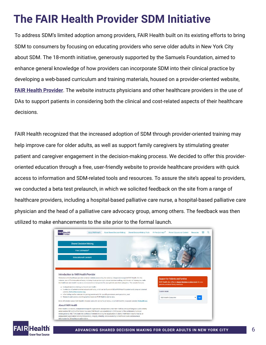### **The FAIR Health Provider SDM Initiative**

To address SDM's limited adoption among providers, FAIR Health built on its existing efforts to bring SDM to consumers by focusing on educating providers who serve older adults in New York City about SDM. The 18-month initiative, generously supported by the Samuels Foundation, aimed to enhance general knowledge of how providers can incorporate SDM into their clinical practice by developing a web-based curriculum and training materials, housed on a provider-oriented website, **[FAIR Health Provider](https://www.fairhealthprovider.org/)**. The website instructs physicians and other healthcare providers in the use of DAs to support patients in considering both the clinical and cost-related aspects of their healthcare decisions.

FAIR Health recognized that the increased adoption of SDM through provider-oriented training may help improve care for older adults, as well as support family caregivers by stimulating greater patient and caregiver engagement in the decision-making process. We decided to offer this provideroriented education through a free, user-friendly website to provide healthcare providers with quick access to information and SDM-related tools and resources. To assure the site's appeal to providers, we conducted a beta test prelaunch, in which we solicited feedback on the site from a range of healthcare providers, including a hospital-based palliative care nurse, a hospital-based palliative care physician and the head of a palliative care advocacy group, among others. The feedback was then utilized to make enhancements to the site prior to the formal launch.



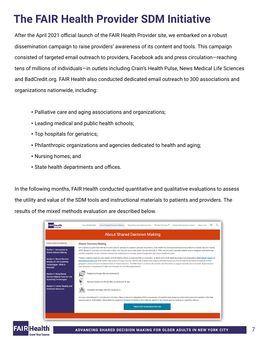### **The FAIR Health Provider SDM Initiative**

After the April 2021 official launch of the FAIR Health Provider site, we embarked on a robust dissemination campaign to raise providers' awareness of its content and tools. This campaign consisted of targeted email outreach to providers, Facebook ads and press circulation—reaching tens of millions of individuals—in outlets including Crain's Health Pulse, News Medical Life Sciences and BadCredit.org. FAIR Health also conducted dedicated email outreach to 300 associations and organizations nationwide, including:

- Palliative care and aging associations and organizations;
- Leading medical and public health schools;
- Top hospitals for geriatrics;
- Philanthropic organizations and agencies dedicated to health and aging;
- Nursing homes; and
- State health departments and offices.

In the following months, FAIR Health conducted quantitative and qualitative evaluations to assess the utility and value of the SDM tools and instructional materials to patients and providers. The results of the mixed methods evaluation are described below.

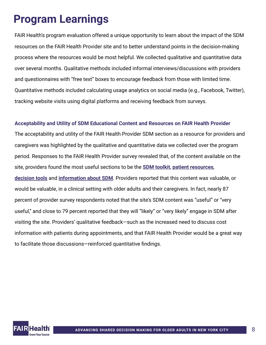FAIR Health's program evaluation offered a unique opportunity to learn about the impact of the SDM resources on the FAIR Health Provider site and to better understand points in the decision-making process where the resources would be most helpful. We collected qualitative and quantitative data over several months. Qualitative methods included informal interviews/discussions with providers and questionnaires with "free text" boxes to encourage feedback from those with limited time. Quantitative methods included calculating usage analytics on social media (e.g., Facebook, Twitter), tracking website visits using digital platforms and receiving feedback from surveys.

#### **Acceptability and Utility of SDM Educational Content and Resources on FAIR Health Provider**

The acceptability and utility of the FAIR Health Provider SDM section as a resource for providers and caregivers was highlighted by the qualitative and quantitative data we collected over the program period. Responses to the FAIR Health Provider survey revealed that, of the content available on the site, providers found the most useful sections to be the **[SDM toolkit](https://www.fairhealthprovider.org/download/sdm_pdf1.pdf)**, **[patient resources](https://www.fairhealthprovider.org/resource-library)**, **[decision tools](https://www.fairhealthprovider.org/about-shared-decision-tools)** and **[information about SDM](https://www.fairhealthprovider.org/about-shared-decision-making)**. Providers reported that this content was valuable, or would be valuable, in a clinical setting with older adults and their caregivers. In fact, nearly 87 percent of provider survey respondents noted that the site's SDM content was "useful" or "very useful," and close to 79 percent reported that they will "likely" or "very likely" engage in SDM after visiting the site. Providers' qualitative feedback—such as the increased need to discuss cost information with patients during appointments, and that FAIR Health Provider would be a great way to facilitate those discussions—reinforced quantitative findings.

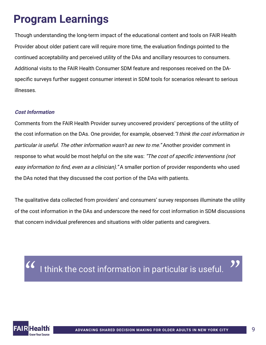Though understanding the long-term impact of the educational content and tools on FAIR Health Provider about older patient care will require more time, the evaluation findings pointed to the continued acceptability and perceived utility of the DAs and ancillary resources to consumers. Additional visits to the FAIR Health Consumer SDM feature and responses received on the DAspecific surveys further suggest consumer interest in SDM tools for scenarios relevant to serious illnesses.

#### **Cost Information**

Comments from the FAIR Health Provider survey uncovered providers' perceptions of the utility of the cost information on the DAs. One provider, for example, observed: "I think the cost information in particular is useful. The other information wasn't as new to me." Another provider comment in response to what would be most helpful on the site was: "The cost of specific interventions (not easy information to find, even as a clinician)." A smaller portion of provider respondents who used the DAs noted that they discussed the cost portion of the DAs with patients.

The qualitative data collected from providers' and consumers' survey responses illuminate the utility of the cost information in the DAs and underscore the need for cost information in SDM discussions that concern individual preferences and situations with older patients and caregivers.

I think the cost information in particular is useful.  $\overline{\mathcal{C}}$ "<br>"<br>"

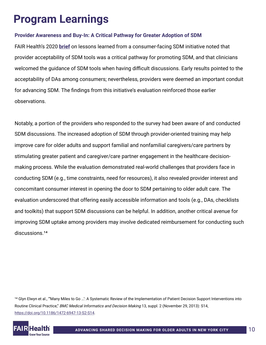#### **Provider Awareness and Buy-In: A Critical Pathway for Greater Adoption of SDM**

FAIR Health's 2020 **[brief](https://s3.amazonaws.com/media2.fairhealth.org/brief/asset/Cost%20Information%20Enhances%20Shared%20Decision%20Making-Lessons%20from%20FAIR%20Healths%20Shared%20Decision-Making%20Initiative-A%20FAIR%20Health%20Brief.pdf)** on lessons learned from a consumer-facing SDM initiative noted that provider acceptability of SDM tools was a critical pathway for promoting SDM, and that clinicians welcomed the guidance of SDM tools when having difficult discussions. Early results pointed to the acceptability of DAs among consumers; nevertheless, providers were deemed an important conduit for advancing SDM. The findings from this initiative's evaluation reinforced those earlier observations.

Notably, a portion of the providers who responded to the survey had been aware of and conducted SDM discussions. The increased adoption of SDM through provider-oriented training may help improve care for older adults and support familial and nonfamilial caregivers/care partners by stimulating greater patient and caregiver/care partner engagement in the healthcare decisionmaking process. While the evaluation demonstrated real-world challenges that providers face in conducting SDM (e.g., time constraints, need for resources), it also revealed provider interest and concomitant consumer interest in opening the door to SDM pertaining to older adult care. The evaluation underscored that offering easily accessible information and tools (e.g., DAs, checklists and toolkits) that support SDM discussions can be helpful. In addition, another critical avenue for improving SDM uptake among providers may involve dedicated reimbursement for conducting such discussions.<sup>14</sup>

14 Glyn Elwyn et al., "Many Miles to Go ...": A Systematic Review of the Implementation of Patient Decision Support Interventions into Routine Clinical Practice," BMC Medical Informatics and Decision Making 13, suppl. 2 (November 29, 2013): S14, [https://doi.org/10.1186/1472-6947-13-S2-S14.](https://bmcmedinformdecismak.biomedcentral.com/articles/10.1186/1472-6947-13-S2-S14)

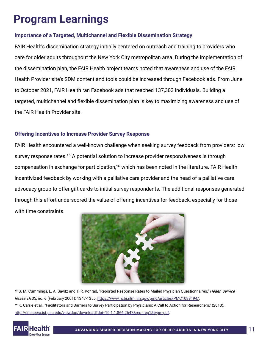#### **Importance of a Targeted, Multichannel and Flexible Dissemination Strategy**

FAIR Health's dissemination strategy initially centered on outreach and training to providers who care for older adults throughout the New York City metropolitan area. During the implementation of the dissemination plan, the FAIR Health project teams noted that awareness and use of the FAIR Health Provider site's SDM content and tools could be increased through Facebook ads. From June to October 2021, FAIR Health ran Facebook ads that reached 137,303 individuals. Building a targeted, multichannel and flexible dissemination plan is key to maximizing awareness and use of the FAIR Health Provider site.

#### **Offering Incentives to Increase Provider Survey Response**

FAIR Health encountered a well-known challenge when seeking survey feedback from providers: low survey response rates.<sup>15</sup> A potential solution to increase provider responsiveness is through compensation in exchange for participation,<sup>16</sup> which has been noted in the literature. FAIR Health incentivized feedback by working with a palliative care provider and the head of a palliative care advocacy group to offer gift cards to initial survey respondents. The additional responses generated through this effort underscored the value of offering incentives for feedback, especially for those with time constraints.



<sup>15</sup> S. M. Cummings, L. A. Savitz and T. R. Konrad, "Reported Response Rates to Mailed Physician Questionnaires," Health Service Research 35, no. 6 (February 2001): 1347-1355, [https://www.ncbi.nlm.nih.gov/pmc/articles/PMC1089194/.](https://www.ncbi.nlm.nih.gov/pmc/articles/PMC1089194/) <sup>16</sup> K. Carrie et al., "Facilitators and Barriers to Survey Participation by Physicians: A Call to Action for Researchers," (2013), [http://citeseerx.ist.psu.edu/viewdoc/download?doi=10.1.1.866.2647&rep=rep1&type=pdf](https://citeseerx.ist.psu.edu/viewdoc/download?doi=10.1.1.866.2647&rep=rep1&type=pdf).

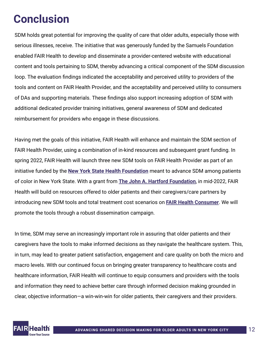### **Conclusion**

SDM holds great potential for improving the quality of care that older adults, especially those with serious illnesses, receive. The initiative that was generously funded by the Samuels Foundation enabled FAIR Health to develop and disseminate a provider-centered website with educational content and tools pertaining to SDM, thereby advancing a critical component of the SDM discussion loop. The evaluation findings indicated the acceptability and perceived utility to providers of the tools and content on FAIR Health Provider, and the acceptability and perceived utility to consumers of DAs and supporting materials. These findings also support increasing adoption of SDM with additional dedicated provider training initiatives, general awareness of SDM and dedicated reimbursement for providers who engage in these discussions.

Having met the goals of this initiative, FAIR Health will enhance and maintain the SDM section of FAIR Health Provider, using a combination of in-kind resources and subsequent grant funding. In spring 2022, FAIR Health will launch three new SDM tools on FAIR Health Provider as part of an initiative funded by the **[New York State Health Foundation](https://nyshealthfoundation.org/grantee/fair-health-inc-2/)** meant to advance SDM among patients of color in New York State. With a grant from **[The John A. Hartford Foundation](https://www.johnahartford.org/grants-strategy/a-national-initiative-to-advance-cost-information-in-shared-decision-making-for-serious-health-conditions)**, in mid-2022, FAIR Health will build on resources offered to older patients and their caregivers/care partners by introducing new SDM tools and total treatment cost scenarios on **[FAIR Health Consumer](https://www.fairhealthconsumer.org/)**. We will promote the tools through a robust dissemination campaign.

In time, SDM may serve an increasingly important role in assuring that older patients and their caregivers have the tools to make informed decisions as they navigate the healthcare system. This, in turn, may lead to greater patient satisfaction, engagement and care quality on both the micro and macro levels. With our continued focus on bringing greater transparency to healthcare costs and healthcare information, FAIR Health will continue to equip consumers and providers with the tools and information they need to achieve better care through informed decision making grounded in clear, objective information—a win-win-win for older patients, their caregivers and their providers.